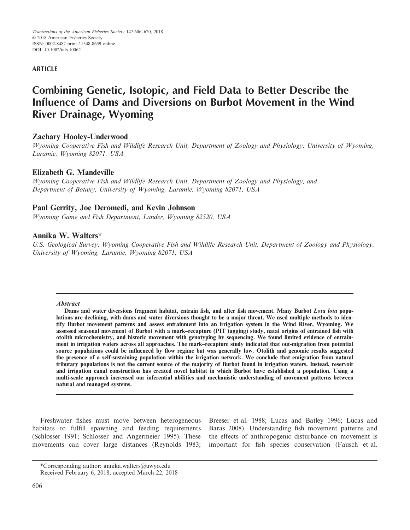## **ARTICLE**

# **Combining Genetic, Isotopic, and Field Data to Better Describe the Influence of Dams and Diversions on Burbot Movement in the Wind River Drainage, Wyoming**

# **Zachary Hooley-Underwood**

*Wyoming Cooperative Fish and Wildlife Research Unit, Department of Zoology and Physiology, University of Wyoming, Laramie, Wyoming 82071, USA*

# **Elizabeth G. Mandeville**

*Wyoming Cooperative Fish and Wildlife Research Unit, Department of Zoology and Physiology, and Department of Botany, University of Wyoming, Laramie, Wyoming 82071, USA*

# **Paul Gerrity, Joe Deromedi, and Kevin Johnson**

*Wyoming Game and Fish Department, Lander, Wyoming 82520, USA*

# **Annika W. Walters\***

*U.S. Geological Survey, Wyoming Cooperative Fish and Wildlife Research Unit, Department of Zoology and Physiology, University of Wyoming, Laramie, Wyoming 82071, USA*

#### **Abstract**

**Dams and water diversions fragment habitat, entrain fish, and alter fish movement. Many Burbot Lota lota populations are declining, with dams and water diversions thought to be a major threat. We used multiple methods to identify Burbot movement patterns and assess entrainment into an irrigation system in the Wind River, Wyoming. We assessed seasonal movement of Burbot with a mark–recapture (PIT tagging) study, natal origins of entrained fish with otolith microchemistry, and historic movement with genotyping by sequencing. We found limited evidence of entrainment in irrigation waters across all approaches. The mark–recapture study indicated that out-migration from potential source populations could be influenced by flow regime but was generally low. Otolith and genomic results suggested the presence of a self-sustaining population within the irrigation network. We conclude that emigration from natural tributary populations is not the current source of the majority of Burbot found in irrigation waters. Instead, reservoir and irrigation canal construction has created novel habitat in which Burbot have established a population. Using a multi-scale approach increased our inferential abilities and mechanistic understanding of movement patterns between natural and managed systems.**

Freshwater fishes must move between heterogeneous habitats to fulfill spawning and feeding requirements (Schlosser 1991; Schlosser and Angermeier 1995). These movements can cover large distances (Reynolds 1983;

Breeser et al. 1988; Lucas and Batley 1996; Lucas and Baras 2008). Understanding fish movement patterns and the effects of anthropogenic disturbance on movement is important for fish species conservation (Fausch et al.

<sup>\*</sup>Corresponding author: annika.walters@uwyo.edu

Received February 6, 2018; accepted March 22, 2018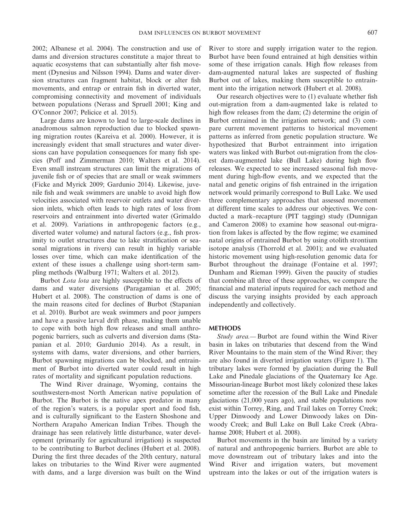2002; Albanese et al. 2004). The construction and use of dams and diversion structures constitute a major threat to aquatic ecosystems that can substantially alter fish movement (Dynesius and Nilsson 1994). Dams and water diversion structures can fragment habitat, block or alter fish movements, and entrap or entrain fish in diverted water, compromising connectivity and movement of individuals between populations (Nerass and Spruell 2001; King and O'Connor 2007; Pelicice et al. 2015).

Large dams are known to lead to large-scale declines in anadromous salmon reproduction due to blocked spawning migration routes (Kareiva et al. 2000). However, it is increasingly evident that small structures and water diversions can have population consequences for many fish species (Poff and Zimmerman 2010; Walters et al. 2014). Even small instream structures can limit the migrations of juvenile fish or of species that are small or weak swimmers (Ficke and Myrick 2009; Gardunio 2014). Likewise, juvenile fish and weak swimmers are unable to avoid high flow velocities associated with reservoir outlets and water diversion inlets, which often leads to high rates of loss from reservoirs and entrainment into diverted water (Grimaldo et al. 2009). Variations in anthropogenic factors (e.g., diverted water volume) and natural factors (e.g., fish proximity to outlet structures due to lake stratification or seasonal migrations in rivers) can result in highly variable losses over time, which can make identification of the extent of these issues a challenge using short-term sampling methods (Walburg 1971; Walters et al. 2012).

Burbot *Lota lota* are highly susceptible to the effects of dams and water diversions (Paragamian et al. 2005; Hubert et al. 2008). The construction of dams is one of the main reasons cited for declines of Burbot (Stapanian et al. 2010). Burbot are weak swimmers and poor jumpers and have a passive larval drift phase, making them unable to cope with both high flow releases and small anthropogenic barriers, such as culverts and diversion dams (Stapanian et al. 2010; Gardunio 2014). As a result, in systems with dams, water diversions, and other barriers, Burbot spawning migrations can be blocked, and entrainment of Burbot into diverted water could result in high rates of mortality and significant population reductions.

The Wind River drainage, Wyoming, contains the southwestern-most North American native population of Burbot. The Burbot is the native apex predator in many of the region's waters, is a popular sport and food fish, and is culturally significant to the Eastern Shoshone and Northern Arapaho American Indian Tribes. Though the drainage has seen relatively little disturbance, water development (primarily for agricultural irrigation) is suspected to be contributing to Burbot declines (Hubert et al. 2008). During the first three decades of the 20th century, natural lakes on tributaries to the Wind River were augmented with dams, and a large diversion was built on the Wind River to store and supply irrigation water to the region. Burbot have been found entrained at high densities within some of these irrigation canals. High flow releases from dam-augmented natural lakes are suspected of flushing Burbot out of lakes, making them susceptible to entrainment into the irrigation network (Hubert et al. 2008).

Our research objectives were to (1) evaluate whether fish out-migration from a dam-augmented lake is related to high flow releases from the dam; (2) determine the origin of Burbot entrained in the irrigation network; and (3) compare current movement patterns to historical movement patterns as inferred from genetic population structure. We hypothesized that Burbot entrainment into irrigation waters was linked with Burbot out-migration from the closest dam-augmented lake (Bull Lake) during high flow releases. We expected to see increased seasonal fish movement during high-flow events, and we expected that the natal and genetic origins of fish entrained in the irrigation network would primarily correspond to Bull Lake. We used three complementary approaches that assessed movement at different time scales to address our objectives. We conducted a mark–recapture (PIT tagging) study (Dunnigan and Cameron 2008) to examine how seasonal out-migration from lakes is affected by the flow regime; we examined natal origins of entrained Burbot by using otolith strontium isotope analysis (Thorrold et al. 2001); and we evaluated historic movement using high-resolution genomic data for Burbot throughout the drainage (Fontaine et al. 1997; Dunham and Rieman 1999). Given the paucity of studies that combine all three of these approaches, we compare the financial and material inputs required for each method and discuss the varying insights provided by each approach independently and collectively.

#### **METHODS**

*Study area.—* Burbot are found within the Wind River basin in lakes on tributaries that descend from the Wind River Mountains to the main stem of the Wind River; they are also found in diverted irrigation waters (Figure 1). The tributary lakes were formed by glaciation during the Bull Lake and Pinedale glaciations of the Quaternary Ice Age. Missourian-lineage Burbot most likely colonized these lakes sometime after the recession of the Bull Lake and Pinedale glaciations (21,000 years ago), and stable populations now exist within Torrey, Ring, and Trail lakes on Torrey Creek; Upper Dinwoody and Lower Dinwoody lakes on Dinwoody Creek; and Bull Lake on Bull Lake Creek (Abrahamse 2008; Hubert et al. 2008).

Burbot movements in the basin are limited by a variety of natural and anthropogenic barriers. Burbot are able to move downstream out of tributary lakes and into the Wind River and irrigation waters, but movement upstream into the lakes or out of the irrigation waters is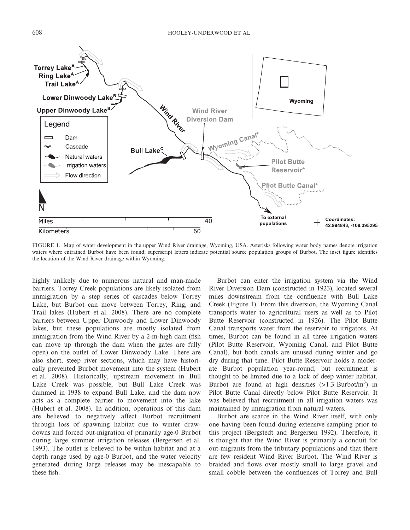

FIGURE 1. Map of water development in the upper Wind River drainage, Wyoming, USA. Asterisks following water body names denote irrigation waters where entrained Burbot have been found; superscript letters indicate potential source population groups of Burbot. The inset figure identifies the location of the Wind River drainage within Wyoming.

highly unlikely due to numerous natural and man-made barriers. Torrey Creek populations are likely isolated from immigration by a step series of cascades below Torrey Lake, but Burbot can move between Torrey, Ring, and Trail lakes (Hubert et al. 2008). There are no complete barriers between Upper Dinwoody and Lower Dinwoody lakes, but these populations are mostly isolated from immigration from the Wind River by a 2-m-high dam (fish can move up through the dam when the gates are fully open) on the outlet of Lower Dinwoody Lake. There are also short, steep river sections, which may have historically prevented Burbot movement into the system (Hubert et al. 2008). Historically, upstream movement in Bull Lake Creek was possible, but Bull Lake Creek was dammed in 1938 to expand Bull Lake, and the dam now acts as a complete barrier to movement into the lake (Hubert et al. 2008). In addition, operations of this dam are believed to negatively affect Burbot recruitment through loss of spawning habitat due to winter drawdowns and forced out-migration of primarily age-0 Burbot during large summer irrigation releases (Bergersen et al. 1993). The outlet is believed to be within habitat and at a depth range used by age-0 Burbot, and the water velocity generated during large releases may be inescapable to these fish.

Burbot can enter the irrigation system via the Wind River Diversion Dam (constructed in 1923), located several miles downstream from the confluence with Bull Lake Creek (Figure 1). From this diversion, the Wyoming Canal transports water to agricultural users as well as to Pilot Butte Reservoir (constructed in 1926). The Pilot Butte Canal transports water from the reservoir to irrigators. At times, Burbot can be found in all three irrigation waters (Pilot Butte Reservoir, Wyoming Canal, and Pilot Butte Canal), but both canals are unused during winter and go dry during that time. Pilot Butte Reservoir holds a moderate Burbot population year-round, but recruitment is thought to be limited due to a lack of deep winter habitat. Burbot are found at high densities  $(>1.3$  Burbot/m<sup>3</sup>) in Pilot Butte Canal directly below Pilot Butte Reservoir. It was believed that recruitment in all irrigation waters was maintained by immigration from natural waters.

Burbot are scarce in the Wind River itself, with only one having been found during extensive sampling prior to this project (Bergstedt and Bergersen 1992). Therefore, it is thought that the Wind River is primarily a conduit for out-migrants from the tributary populations and that there are few resident Wind River Burbot. The Wind River is braided and flows over mostly small to large gravel and small cobble between the confluences of Torrey and Bull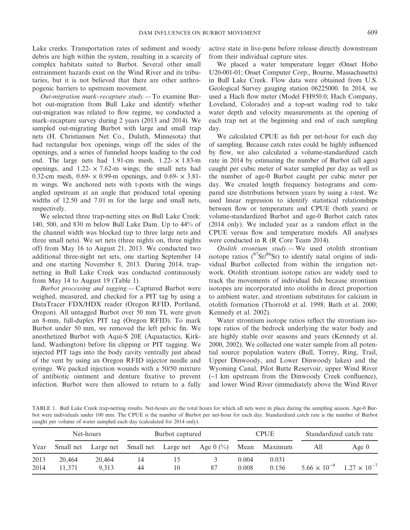Lake creeks. Transportation rates of sediment and woody debris are high within the system, resulting in a scarcity of complex habitats suited to Burbot. Several other small entrainment hazards exist on the Wind River and its tributaries, but it is not believed that there are other anthropogenic barriers to upstream movement.

*Out-migration mark–recapture study.—* To examine Burbot out-migration from Bull Lake and identify whether out-migration was related to flow regime, we conducted a mark–recapture survey during 2 years (2013 and 2014). We sampled out-migrating Burbot with large and small trap nets (H. Christiansen Net Co., Duluth, Minnesota) that had rectangular box openings, wings off the sides of the openings, and a series of funneled hoops leading to the cod end. The large nets had 1.91-cm mesh,  $1.22 \times 1.83$ -m openings, and  $1.22 \times 7.62$ -m wings; the small nets had 0.32-cm mesh, 0.69- $\times$  0.99-m openings, and 0.69- $\times$  3.81m wings. We anchored nets with t-posts with the wings angled upstream at an angle that produced total opening widths of 12.50 and 7.01 m for the large and small nets, respectively.

We selected three trap-netting sites on Bull Lake Creek: 140, 500, and 830 m below Bull Lake Dam. Up to 44% of the channel width was blocked (up to three large nets and three small nets). We set nets (three nights on, three nights off) from May 16 to August 21, 2013. We conducted two additional three-night net sets, one starting September 14 and one starting November 8, 2013. During 2014, trapnetting in Bull Lake Creek was conducted continuously from May 14 to August 19 (Table 1).

*Burbot processing and tagging.—* Captured Burbot were weighed, measured, and checked for a PIT tag by using a DataTracer FDX/HDX reader (Oregon RFID, Portland, Oregon). All untagged Burbot over 50 mm TL were given an 8-mm, full-duplex PIT tag (Oregon RFID). To mark Burbot under 50 mm, we removed the left pelvic fin. We anesthetized Burbot with Aqui-S 20E (Aquatactics, Kirkland, Washington) before fin clipping or PIT tagging. We injected PIT tags into the body cavity ventrally just ahead of the vent by using an Oregon RFID injector needle and syringe. We packed injection wounds with a 50/50 mixture of antibiotic ointment and denture fixative to prevent infection. Burbot were then allowed to return to a fully active state in live-pens before release directly downstream from their individual capture sites.

We placed a water temperature logger (Onset Hobo U20-001-01; Onset Computer Corp., Bourne, Massachusetts) in Bull Lake Creek. Flow data were obtained from U.S. Geological Survey gauging station 06225000. In 2014, we used a Hach flow meter (Model FH950.0; Hach Company, Loveland, Colorado) and a top-set wading rod to take water depth and velocity measurements at the opening of each trap net at the beginning and end of each sampling day.

We calculated CPUE as fish per net-hour for each day of sampling. Because catch rates could be highly influenced by flow, we also calculated a volume-standardized catch rate in 2014 by estimating the number of Burbot (all ages) caught per cubic meter of water sampled per day as well as the number of age-0 Burbot caught per cubic meter per day. We created length frequency histograms and compared size distributions between years by using a *t*-test. We used linear regression to identify statistical relationships between flow or temperature and CPUE (both years) or volume-standardized Burbot and age-0 Burbot catch rates (2014 only). We included year as a random effect in the CPUE versus flow and temperature models. All analyses were conducted in R (R Core Team 2014).

*Otolith strontium study.—* We used otolith strontium isotope ratios  $({}^{87}Sr/{}^{86}Sr)$  to identify natal origins of individual Burbot collected from within the irrigation network. Otolith strontium isotope ratios are widely used to track the movements of individual fish because strontium isotopes are incorporated into otoliths in direct proportion to ambient water, and strontium substitutes for calcium in otolith formation (Thorrold et al. 1998; Bath et al. 2000; Kennedy et al. 2002).

Water strontium isotope ratios reflect the strontium isotope ratios of the bedrock underlying the water body and are highly stable over seasons and years (Kennedy et al. 2000, 2002). We collected one water sample from all potential source population waters (Bull, Torrey, Ring, Trail, Upper Dinwoody, and Lower Dinwoody lakes) and the Wyoming Canal, Pilot Butte Reservoir, upper Wind River (~1 km upstream from the Dinwoody Creek confluence), and lower Wind River (immediately above the Wind River

TABLE 1. Bull Lake Creek trap-netting results. Net-hours are the total hours for which all nets were in place during the sampling season. Age-0 Burbot were individuals under 100 mm. The CPUE is the number of Burbot per net-hour for each day. Standardized catch rate is the number of Burbot caught per volume of water sampled each day (calculated for 2014 only).

| Year | Net-hours |        | Burbot captured |    |                                                       | <b>CPUE</b> |              | Standardized catch rate |                       |
|------|-----------|--------|-----------------|----|-------------------------------------------------------|-------------|--------------|-------------------------|-----------------------|
|      | Small net |        |                 |    | Large net Small net Large net Age $0 \frac{(\%)}{\ }$ |             | Mean Maximum | All                     | Age $0$               |
| 2013 | 20,464    | 20,464 | 14              | 15 |                                                       | 0.004       | 0.031        |                         |                       |
| 2014 | 11.371    | 9.313  | 44              | 10 | 87                                                    | 0.008       | 0.156        | $5.66 \times 10^{-9}$   | $1.27 \times 10^{-7}$ |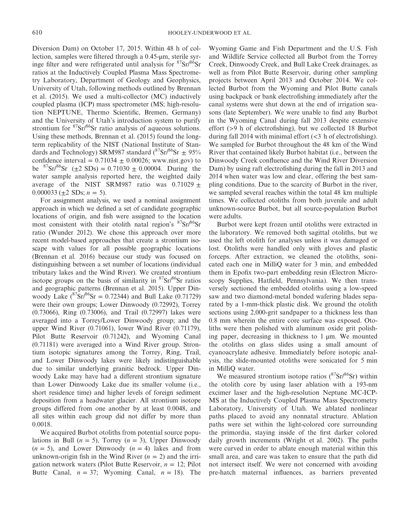Diversion Dam) on October 17, 2015. Within 48 h of collection, samples were filtered through a 0.45-μm, sterile syringe filter and were refrigerated until analysis for  ${}^{87}Sr/{}^{86}Sr$ ratios at the Inductively Coupled Plasma Mass Spectrometry Laboratory, Department of Geology and Geophysics, University of Utah, following methods outlined by Brennan et al. (2015). We used a multi-collector (MC) inductively coupled plasma (ICP) mass spectrometer (MS; high-resolution NEPTUNE, Thermo Scientific, Bremen, Germany) and the University of Utah's introduction system to purify strontium for  ${}^{87}Sr/{}^{86}Sr$  ratio analysis of aqueous solutions. Using these methods, Brennan et al. (2015) found the longterm replicability of the NIST (National Institute of Standards and Technology) SRM987 standard  $({}^{87}\text{Sr}/{}^{86}\text{Sr} \pm 95\%$ confidence interval =  $0.71034 \pm 0.00026$ ; [www.nist.gov\)](http://www.nist.gov) to be  ${}^{87}Sr/{}^{86}Sr$  ( $\pm 2$  SDs) = 0.71030  $\pm$  0.00004. During the water sample analysis reported here, the weighted daily average of the NIST SRM987 ratio was  $0.71029 \pm$ 0.000033 ( $\pm 2$  SDs; *n* = 5).

For assignment analysis, we used a nominal assignment approach in which we defined a set of candidate geographic locations of origin, and fish were assigned to the location most consistent with their otolith natal region's <sup>87</sup>Sr/<sup>86</sup>Sr ratio (Wunder 2012). We chose this approach over more recent model-based approaches that create a strontium isoscape with values for all possible geographic locations (Brennan et al. 2016) because our study was focused on distinguishing between a set number of locations (individual tributary lakes and the Wind River). We created strontium isotope groups on the basis of similarity in  $87\text{Sr}/86\text{Sr}$  ratios and geographic patterns (Brennan et al. 2015). Upper Dinwoody Lake  $({}^{87}Sr/{}^{86}Sr = 0.72344)$  and Bull Lake (0.71729) were their own groups; Lower Dinwoody (0.72992), Torrey (0.73066), Ring (0.73006), and Trail (0.72997) lakes were averaged into a Torrey/Lower Dinwoody group; and the upper Wind River (0.71061), lower Wind River (0.71179), Pilot Butte Reservoir (0.71242), and Wyoming Canal (0.71181) were averaged into a Wind River group. Strontium isotopic signatures among the Torrey, Ring, Trail, and Lower Dinwoody lakes were likely indistinguishable due to similar underlying granitic bedrock. Upper Dinwoody Lake may have had a different strontium signature than Lower Dinwoody Lake due its smaller volume (i.e., short residence time) and higher levels of foreign sediment deposition from a headwater glacier. All strontium isotope groups differed from one another by at least 0.0048, and all sites within each group did not differ by more than 0.0018.

We acquired Burbot otoliths from potential source populations in Bull  $(n = 5)$ , Torrey  $(n = 3)$ , Upper Dinwoody  $(n = 5)$ , and Lower Dinwoody  $(n = 4)$  lakes and from unknown-origin fish in the Wind River  $(n = 2)$  and the irrigation network waters (Pilot Butte Reservoir, *n* = 12; Pilot Butte Canal,  $n = 37$ ; Wyoming Canal,  $n = 18$ ). The

Wyoming Game and Fish Department and the U.S. Fish and Wildlife Service collected all Burbot from the Torrey Creek, Dinwoody Creek, and Bull Lake Creek drainages, as well as from Pilot Butte Reservoir, during other sampling projects between April 2013 and October 2014. We collected Burbot from the Wyoming and Pilot Butte canals using backpack or bank electrofishing immediately after the canal systems were shut down at the end of irrigation seasons (late September). We were unable to find any Burbot in the Wyoming Canal during fall 2013 despite extensive effort (>9 h of electrofishing), but we collected 18 Burbot during fall 2014 with minimal effort (<3 h of electrofishing). We sampled for Burbot throughout the 48 km of the Wind River that contained likely Burbot habitat (i.e., between the Dinwoody Creek confluence and the Wind River Diversion Dam) by using raft electrofishing during the fall in 2013 and 2014 when water was low and clear, offering the best sampling conditions. Due to the scarcity of Burbot in the river, we sampled several reaches within the total 48 km multiple times. We collected otoliths from both juvenile and adult unknown-source Burbot, but all source-population Burbot were adults.

Burbot were kept frozen until otoliths were extracted in the laboratory. We removed both sagittal otoliths, but we used the left otolith for analyses unless it was damaged or lost. Otoliths were handled only with gloves and plastic forceps. After extraction, we cleaned the otoliths, sonicated each one in MilliQ water for 3 min, and embedded them in Epofix two-part embedding resin (Electron Microscopy Supplies, Hatfield, Pennsylvania). We then transversely sectioned the embedded otoliths using a low-speed saw and two diamond-metal bonded wafering blades separated by a 1-mm-thick plastic disk. We ground the otolith sections using 2,000-grit sandpaper to a thickness less than 0.8 mm wherein the entire core surface was exposed. Otoliths were then polished with aluminum oxide grit polishing paper, decreasing in thickness to  $1 \mu m$ . We mounted the otoliths on glass slides using a small amount of cyanoacrylate adhesive. Immediately before isotopic analysis, the slide-mounted otoliths were sonicated for 5 min in MilliQ water.

We measured strontium isotope ratios ( $87\text{Sr}/86\text{Sr}$ ) within the otolith core by using laser ablation with a 193-nm excimer laser and the high-resolution Neptune MC-ICP-MS at the Inductively Coupled Plasma Mass Spectrometry Laboratory, University of Utah. We ablated nonlinear paths placed to avoid any nonnatal structure. Ablation paths were set within the light-colored core surrounding the primordia, staying inside of the first darker colored daily growth increments (Wright et al. 2002). The paths were curved in order to ablate enough material within this small area, and care was taken to ensure that the path did not intersect itself. We were not concerned with avoiding pre-hatch maternal influences, as barriers prevented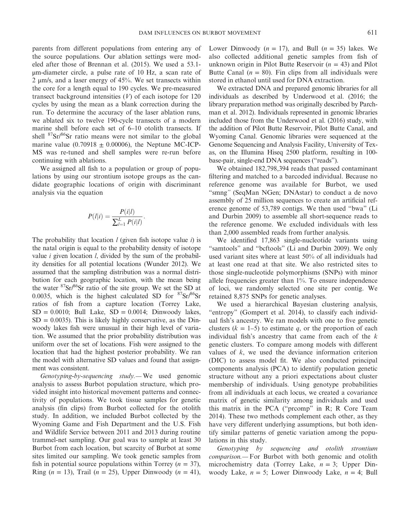parents from different populations from entering any of the source populations. Our ablation settings were modeled after those of Brennan et al. (2015). We used a 53.1 μm-diameter circle, a pulse rate of 10 Hz, a scan rate of 2 μm/s, and a laser energy of 45%. We set transects within the core for a length equal to 190 cycles. We pre-measured transect background intensities (*V*) of each isotope for 120 cycles by using the mean as a blank correction during the run. To determine the accuracy of the laser ablation runs, we ablated six to twelve 190-cycle transects of a modern marine shell before each set of 6–10 otolith transects. If shell  ${}^{87}Sr/{}^{86}Sr$  ratio means were not similar to the global marine value (0.70918  $\pm$  0.00006), the Neptune MC-ICP-MS was re-tuned and shell samples were re-run before continuing with ablations.

We assigned all fish to a population or group of populations by using our strontium isotope groups as the candidate geographic locations of origin with discriminant analysis via the equation

$$
P(l|i) = \frac{P(i|l)}{\sum_{l=1}^{L} P(i|l)}
$$

*:*

The probability that location *l* (given fish isotope value *i*) is the natal origin is equal to the probability density of isotope value *i* given location *l*, divided by the sum of the probability densities for all potential locations (Wunder 2012). We assumed that the sampling distribution was a normal distribution for each geographic location, with the mean being the water  $87\text{Sr}/86\text{Sr}$  ratio of the site group. We set the SD at 0.0035, which is the highest calculated SD for  $87\text{Sr}/86\text{Sr}$ ratios of fish from a capture location (Torrey Lake,  $SD = 0.0010$ ; Bull Lake,  $SD = 0.0014$ ; Dinwoody lakes,  $SD = 0.0035$ ). This is likely highly conservative, as the Dinwoody lakes fish were unusual in their high level of variation. We assumed that the prior probability distribution was uniform over the set of locations. Fish were assigned to the location that had the highest posterior probability. We ran the model with alternative SD values and found that assignment was consistent.

*Genotyping-by-sequencing study.—* We used genomic analysis to assess Burbot population structure, which provided insight into historical movement patterns and connectivity of populations. We took tissue samples for genetic analysis (fin clips) from Burbot collected for the otolith study. In addition, we included Burbot collected by the Wyoming Game and Fish Department and the U.S. Fish and Wildlife Service between 2011 and 2013 during routine trammel-net sampling. Our goal was to sample at least 30 Burbot from each location, but scarcity of Burbot at some sites limited our sampling. We took genetic samples from fish in potential source populations within Torrey ( $n = 37$ ), Ring  $(n = 13)$ , Trail  $(n = 25)$ , Upper Dinwoody  $(n = 41)$ , Lower Dinwoody  $(n = 17)$ , and Bull  $(n = 35)$  lakes. We also collected additional genetic samples from fish of unknown origin in Pilot Butte Reservoir (*n* = 43) and Pilot Butte Canal  $(n = 80)$ . Fin clips from all individuals were stored in ethanol until used for DNA extraction.

We extracted DNA and prepared genomic libraries for all individuals as described by Underwood et al. (2016; the library preparation method was originally described by Parchman et al. 2012). Individuals represented in genomic libraries included those from the Underwood et al. (2016) study, with the addition of Pilot Butte Reservoir, Pilot Butte Canal, and Wyoming Canal. Genomic libraries were sequenced at the Genome Sequencing and Analysis Facility, University of Texas, on the Illumina Hiseq 2500 platform, resulting in 100 base-pair, single-end DNA sequences ("reads").

We obtained 182,798,394 reads that passed contaminant filtering and matched to a barcoded individual. Because no reference genome was available for Burbot, we used "smng*"* (SeqMan NGen; DNAstar) to conduct a de novo assembly of 25 million sequences to create an artificial reference genome of 53,789 contigs. We then used "bwa" (Li and Durbin 2009) to assemble all short-sequence reads to the reference genome. We excluded individuals with less than 2,000 assembled reads from further analysis.

We identified 17,863 single-nucleotide variants using "samtools" and "bcftools" (Li and Durbin 2009). We only used variant sites where at least 50% of all individuals had at least one read at that site. We also restricted sites to those single-nucleotide polymorphisms (SNPs) with minor allele frequencies greater than 1%. To ensure independence of loci, we randomly selected one site per contig. We retained 8,875 SNPs for genetic analyses.

We used a hierarchical Bayesian clustering analysis, "entropy" (Gompert et al. 2014), to classify each individual fish's ancestry. We ran models with one to five genetic clusters  $(k = 1-5)$  to estimate *q*, or the proportion of each individual fish's ancestry that came from each of the *k* genetic clusters. To compare among models with different values of *k*, we used the deviance information criterion (DIC) to assess model fit. We also conducted principal components analysis (PCA) to identify population genetic structure without any a priori expectations about cluster membership of individuals. Using genotype probabilities from all individuals at each locus, we created a covariance matrix of genetic similarity among individuals and used this matrix in the PCA ("prcomp" in R; R Core Team 2014). These two methods complement each other, as they have very different underlying assumptions, but both identify similar patterns of genetic variation among the populations in this study.

*Genotyping by sequencing and otolith strontium comparison.—* For Burbot with both genomic and otolith microchemistry data (Torrey Lake, *n* = 3; Upper Dinwoody Lake, *n* = 5; Lower Dinwoody Lake, *n* = 4; Bull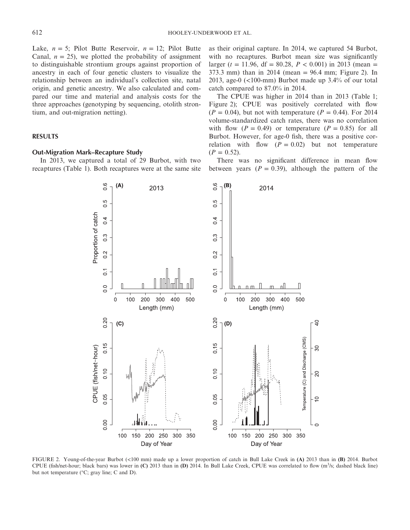Lake,  $n = 5$ ; Pilot Butte Reservoir,  $n = 12$ ; Pilot Butte Canal,  $n = 25$ ), we plotted the probability of assignment to distinguishable strontium groups against proportion of ancestry in each of four genetic clusters to visualize the relationship between an individual's collection site, natal origin, and genetic ancestry. We also calculated and compared our time and material and analysis costs for the three approaches (genotyping by sequencing, otolith strontium, and out-migration netting).

## **RESULTS**

## **Out-Migration Mark–Recapture Study**

In 2013, we captured a total of 29 Burbot, with two recaptures (Table 1). Both recaptures were at the same site

 $(A)$ 

2013

 $\frac{6}{1}$ 

as their original capture. In 2014, we captured 54 Burbot, with no recaptures. Burbot mean size was significantly larger ( $t = 11.96$ , df = 80.28,  $P < 0.001$ ) in 2013 (mean = 373.3 mm) than in 2014 (mean = 96.4 mm; Figure 2). In 2013, age-0 (<100-mm) Burbot made up 3.4% of our total catch compared to 87.0% in 2014.

The CPUE was higher in 2014 than in 2013 (Table 1; Figure 2); CPUE was positively correlated with flow  $(P = 0.04)$ , but not with temperature  $(P = 0.44)$ . For 2014 volume-standardized catch rates, there was no correlation with flow  $(P = 0.49)$  or temperature  $(P = 0.85)$  for all Burbot. However, for age-0 fish, there was a positive correlation with flow  $(P = 0.02)$  but not temperature  $(P = 0.52)$ .

There was no significant difference in mean flow between years  $(P = 0.39)$ , although the pattern of the

2014





 $0.6$ 

 $(B)$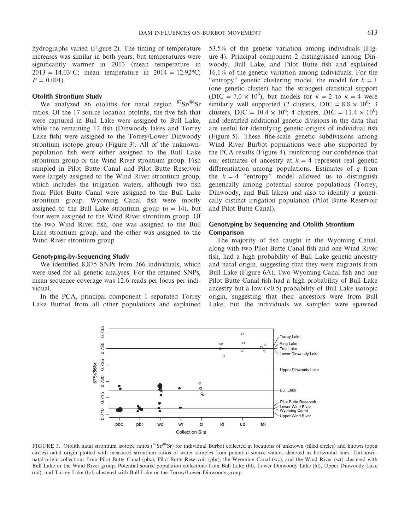hydrographs varied (Figure 2). The timing of temperature increases was similar in both years, but temperatures were significantly warmer in 2013 (mean temperature in  $2013 = 14.03$ °C; mean temperature in  $2014 = 12.92$ °C;  $P = 0.001$ .

#### **Otolith Strontium Study**

We analyzed 86 otoliths for natal region  $87\text{Sr}/86\text{Sr}$ ratios. Of the 17 source location otoliths, the five fish that were captured in Bull Lake were assigned to Bull Lake, while the remaining 12 fish (Dinwoody lakes and Torrey Lake fish) were assigned to the Torrey/Lower Dinwoody strontium isotope group (Figure 3). All of the unknownpopulation fish were either assigned to the Bull Lake strontium group or the Wind River strontium group. Fish sampled in Pilot Butte Canal and Pilot Butte Reservoir were largely assigned to the Wind River strontium group, which includes the irrigation waters, although two fish from Pilot Butte Canal were assigned to the Bull Lake strontium group. Wyoming Canal fish were mostly assigned to the Bull Lake strontium group  $(n = 14)$ , but four were assigned to the Wind River strontium group. Of the two Wind River fish, one was assigned to the Bull Lake strontium group, and the other was assigned to the Wind River strontium group.

#### **Genotyping-by-Sequencing Study**

We identified 8,875 SNPs from 266 individuals, which were used for all genetic analyses. For the retained SNPs, mean sequence coverage was 12.6 reads per locus per individual.

In the PCA, principal component 1 separated Torrey Lake Burbot from all other populations and explained 53.5% of the genetic variation among individuals (Figure 4). Principal component 2 distinguished among Dinwoody, Bull Lake, and Pilot Butte fish and explained 16.1% of the genetic variation among individuals. For the "entropy" genetic clustering model, the model for  $k = 1$ (one genetic cluster) had the strongest statistical support (DIC =  $7.0 \times 10^6$ ), but models for  $k = 2$  to  $k = 4$  were similarly well supported (2 clusters, DIC =  $8.8 \times 10^6$ ; 3 clusters, DIC =  $10.4 \times 10^6$ ; 4 clusters, DIC =  $11.4 \times 10^6$ ) and identified additional genetic divisions in the data that are useful for identifying genetic origins of individual fish (Figure 5). These fine-scale genetic subdivisions among Wind River Burbot populations were also supported by the PCA results (Figure 4), reinforcing our confidence that our estimates of ancestry at  $k = 4$  represent real genetic differentiation among populations. Estimates of *q* from the  $k = 4$  "entropy" model allowed us to distinguish genetically among potential source populations (Torrey, Dinwoody, and Bull lakes) and also to identify a genetically distinct irrigation population (Pilot Butte Reservoir and Pilot Butte Canal).

# **Genotyping by Sequencing and Otolith Strontium Comparison**

The majority of fish caught in the Wyoming Canal, along with two Pilot Butte Canal fish and one Wind River fish, had a high probability of Bull Lake genetic ancestry and natal origin, suggesting that they were migrants from Bull Lake (Figure 6A). Two Wyoming Canal fish and one Pilot Butte Canal fish had a high probability of Bull Lake ancestry but a low  $( $0.5$ ) probability of Bull Lake isotopic$ origin, suggesting that their ancestors were from Bull Lake, but the individuals we sampled were spawned



FIGURE 3. Otolith natal strontium isotope ratios (<sup>87</sup>Sr/<sup>86</sup>Sr) for individual Burbot collected at locations of unknown (filled circles) and known (open circles) natal origin plotted with measured strontium ratios of water samples from potential source waters, denoted as horizontal lines. Unknownnatal-origin collections from Pilot Butte Canal (pbc), Pilot Butte Reservoir (pbr), the Wyoming Canal (wc), and the Wind River (wr) clustered with Bull Lake or the Wind River group. Potential source population collections from Bull Lake (bl), Lower Dinwoody Lake (ld), Upper Dinwoody Lake (ud), and Torrey Lake (tol) clustered with Bull Lake or the Torrey/Lower Dinwoody group.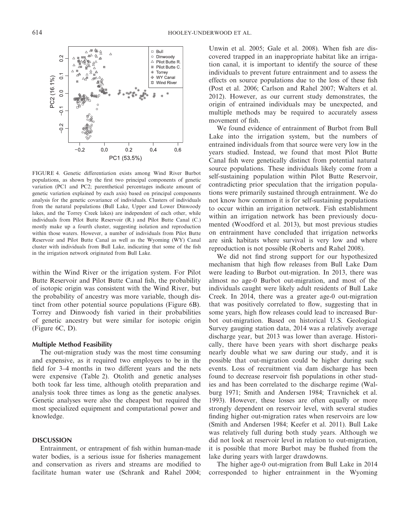

FIGURE 4. Genetic differentiation exists among Wind River Burbot populations, as shown by the first two principal components of genetic variation (PC1 and PC2; parenthetical percentages indicate amount of genetic variation explained by each axis) based on principal components analysis for the genetic covariance of individuals. Clusters of individuals from the natural populations (Bull Lake, Upper and Lower Dinwoody lakes, and the Torrey Creek lakes) are independent of each other, while individuals from Pilot Butte Reservoir (R.) and Pilot Butte Canal (C.) mostly make up a fourth cluster, suggesting isolation and reproduction within those waters. However, a number of individuals from Pilot Butte Reservoir and Pilot Butte Canal as well as the Wyoming (WY) Canal cluster with individuals from Bull Lake, indicating that some of the fish in the irrigation network originated from Bull Lake.

within the Wind River or the irrigation system. For Pilot Butte Reservoir and Pilot Butte Canal fish, the probability of isotopic origin was consistent with the Wind River, but the probability of ancestry was more variable, though distinct from other potential source populations (Figure 6B). Torrey and Dinwoody fish varied in their probabilities of genetic ancestry but were similar for isotopic origin (Figure 6C, D).

## **Multiple Method Feasibility**

The out-migration study was the most time consuming and expensive, as it required two employees to be in the field for 3–4 months in two different years and the nets were expensive (Table 2). Otolith and genetic analyses both took far less time, although otolith preparation and analysis took three times as long as the genetic analyses. Genetic analyses were also the cheapest but required the most specialized equipment and computational power and knowledge.

### **DISCUSSION**

Entrainment, or entrapment of fish within human-made water bodies, is a serious issue for fisheries management and conservation as rivers and streams are modified to facilitate human water use (Schrank and Rahel 2004; Unwin et al. 2005; Gale et al. 2008). When fish are discovered trapped in an inappropriate habitat like an irrigation canal, it is important to identify the source of these individuals to prevent future entrainment and to assess the effects on source populations due to the loss of these fish (Post et al. 2006; Carlson and Rahel 2007; Walters et al. 2012). However, as our current study demonstrates, the origin of entrained individuals may be unexpected, and multiple methods may be required to accurately assess movement of fish.

We found evidence of entrainment of Burbot from Bull Lake into the irrigation system, but the numbers of entrained individuals from that source were very low in the years studied. Instead, we found that most Pilot Butte Canal fish were genetically distinct from potential natural source populations. These individuals likely come from a self-sustaining population within Pilot Butte Reservoir, contradicting prior speculation that the irrigation populations were primarily sustained through entrainment. We do not know how common it is for self-sustaining populations to occur within an irrigation network. Fish establishment within an irrigation network has been previously documented (Woodford et al. 2013), but most previous studies on entrainment have concluded that irrigation networks are sink habitats where survival is very low and where reproduction is not possible (Roberts and Rahel 2008).

We did not find strong support for our hypothesized mechanism that high flow releases from Bull Lake Dam were leading to Burbot out-migration. In 2013, there was almost no age-0 Burbot out-migration, and most of the individuals caught were likely adult residents of Bull Lake Creek. In 2014, there was a greater age-0 out-migration that was positively correlated to flow, suggesting that in some years, high flow releases could lead to increased Burbot out-migration. Based on historical U.S. Geological Survey gauging station data, 2014 was a relatively average discharge year, but 2013 was lower than average. Historically, there have been years with short discharge peaks nearly double what we saw during our study, and it is possible that out-migration could be higher during such events. Loss of recruitment via dam discharge has been found to decrease reservoir fish populations in other studies and has been correlated to the discharge regime (Walburg 1971; Smith and Andersen 1984; Travnichek et al. 1993). However, these losses are often equally or more strongly dependent on reservoir level, with several studies finding higher out-migration rates when reservoirs are low (Smith and Andersen 1984; Keefer et al. 2011). Bull Lake was relatively full during both study years. Although we did not look at reservoir level in relation to out-migration, it is possible that more Burbot may be flushed from the lake during years with larger drawdowns.

The higher age-0 out-migration from Bull Lake in 2014 corresponded to higher entrainment in the Wyoming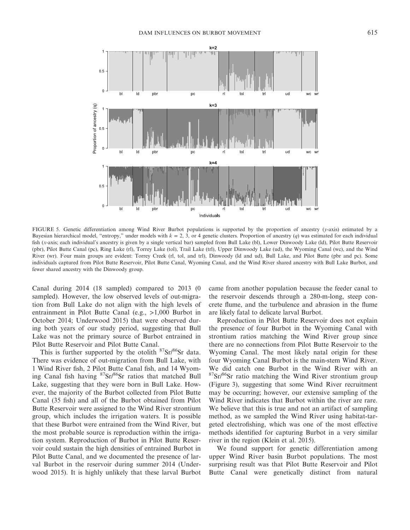

FIGURE 5. Genetic differentiation among Wind River Burbot populations is supported by the proportion of ancestry (*y-*axis) estimated by a Bayesian hierarchical model, "entropy," under models with  $k = 2, 3$ , or 4 genetic clusters. Proportion of ancestry (*q*) was estimated for each individual fish (*x-*axis; each individual's ancestry is given by a single vertical bar) sampled from Bull Lake (bl), Lower Dinwoody Lake (ld), Pilot Butte Reservoir (pbr), Pilot Butte Canal (pc), Ring Lake (rl), Torrey Lake (tol), Trail Lake (trl), Upper Dinwoody Lake (ud), the Wyoming Canal (wc), and the Wind River (wr). Four main groups are evident: Torrey Creek (rl, tol, and trl), Dinwoody (ld and ud), Bull Lake, and Pilot Butte (pbr and pc). Some individuals captured from Pilot Butte Reservoir, Pilot Butte Canal, Wyoming Canal, and the Wind River shared ancestry with Bull Lake Burbot, and fewer shared ancestry with the Dinwoody group.

Canal during 2014 (18 sampled) compared to 2013 (0 sampled). However, the low observed levels of out-migration from Bull Lake do not align with the high levels of entrainment in Pilot Butte Canal (e.g., >1,000 Burbot in October 2014; Underwood 2015) that were observed during both years of our study period, suggesting that Bull Lake was not the primary source of Burbot entrained in Pilot Butte Reservoir and Pilot Butte Canal.

This is further supported by the otolith  $87\text{Sr}/86\text{Sr}$  data. There was evidence of out-migration from Bull Lake, with 1 Wind River fish, 2 Pilot Butte Canal fish, and 14 Wyoming Canal fish having  ${}^{87}Sr/{}^{86}Sr$  ratios that matched Bull Lake, suggesting that they were born in Bull Lake. However, the majority of the Burbot collected from Pilot Butte Canal (35 fish) and all of the Burbot obtained from Pilot Butte Reservoir were assigned to the Wind River strontium group, which includes the irrigation waters. It is possible that these Burbot were entrained from the Wind River, but the most probable source is reproduction within the irrigation system. Reproduction of Burbot in Pilot Butte Reservoir could sustain the high densities of entrained Burbot in Pilot Butte Canal, and we documented the presence of larval Burbot in the reservoir during summer 2014 (Underwood 2015). It is highly unlikely that these larval Burbot came from another population because the feeder canal to the reservoir descends through a 280-m-long, steep concrete flume, and the turbulence and abrasion in the flume are likely fatal to delicate larval Burbot.

Reproduction in Pilot Butte Reservoir does not explain the presence of four Burbot in the Wyoming Canal with strontium ratios matching the Wind River group since there are no connections from Pilot Butte Reservoir to the Wyoming Canal. The most likely natal origin for these four Wyoming Canal Burbot is the main-stem Wind River. We did catch one Burbot in the Wind River with an  $87$ Sr/ $86$ Sr ratio matching the Wind River strontium group (Figure 3), suggesting that some Wind River recruitment may be occurring; however, our extensive sampling of the Wind River indicates that Burbot within the river are rare. We believe that this is true and not an artifact of sampling method, as we sampled the Wind River using habitat-targeted electrofishing, which was one of the most effective methods identified for capturing Burbot in a very similar river in the region (Klein et al. 2015).

We found support for genetic differentiation among upper Wind River basin Burbot populations. The most surprising result was that Pilot Butte Reservoir and Pilot Butte Canal were genetically distinct from natural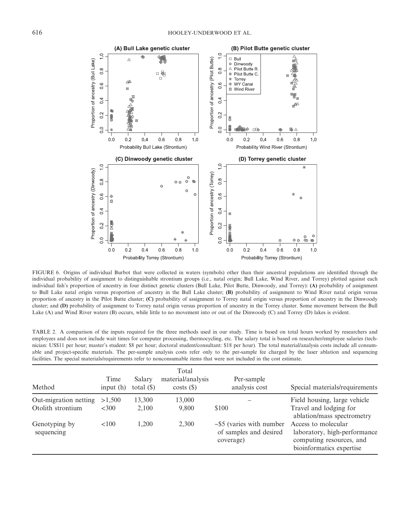

FIGURE 6. Origins of individual Burbot that were collected in waters (symbols) other than their ancestral populations are identified through the individual probability of assignment to distinguishable strontium groups (i.e., natal origin; Bull Lake, Wind River, and Torrey) plotted against each individual fish's proportion of ancestry in four distinct genetic clusters (Bull Lake, Pilot Butte, Dinwoody, and Torrey): **(A)** probability of assignment to Bull Lake natal origin versus proportion of ancestry in the Bull Lake cluster; **(B)** probability of assignment to Wind River natal origin versus proportion of ancestry in the Pilot Butte cluster; **(C)** probability of assignment to Torrey natal origin versus proportion of ancestry in the Dinwoody cluster; and **(D)** probability of assignment to Torrey natal origin versus proportion of ancestry in the Torrey cluster. Some movement between the Bull Lake (A) and Wind River waters (B) occurs, while little to no movement into or out of the Dinwoody (C) and Torrey (D) lakes is evident.

TABLE 2. A comparison of the inputs required for the three methods used in our study. Time is based on total hours worked by researchers and employees and does not include wait times for computer processing, thermocycling, etc. The salary total is based on researcher/employee salaries (technician: US\$11 per hour; master's student: \$8 per hour; doctoral student/consultant: \$18 per hour). The total material/analysis costs include all consumable and project-specific materials. The per-sample analysis costs refer only to the per-sample fee charged by the laser ablation and sequencing facilities. The special materials/requirements refer to nonconsumable items that were not included in the cost estimate.

| Method                                     | Time<br>input $(h)$ | Salary<br>total $(\$)$ | Total<br>material/analysis<br>costs() | Per-sample<br>analysis cost                                           | Special materials/requirements                                                                              |
|--------------------------------------------|---------------------|------------------------|---------------------------------------|-----------------------------------------------------------------------|-------------------------------------------------------------------------------------------------------------|
| Out-migration netting<br>Otolith strontium | >1,500<br><300      | 13,300<br>2,100        | 13,000<br>9,800                       | \$100                                                                 | Field housing, large vehicle<br>Travel and lodging for<br>ablation/mass spectrometry                        |
| Genotyping by<br>sequencing                | <100                | 1.200                  | 2,300                                 | $\sim$ \$5 (varies with number<br>of samples and desired<br>coverage) | Access to molecular<br>laboratory, high-performance<br>computing resources, and<br>bioinformatics expertise |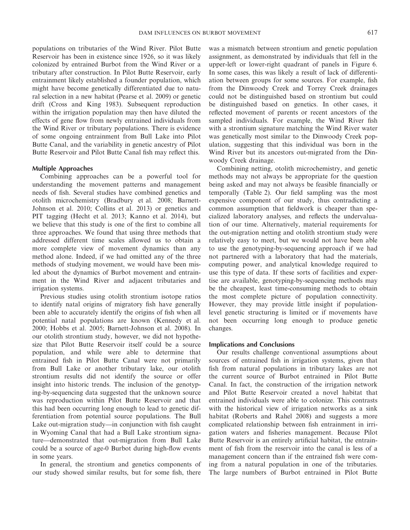populations on tributaries of the Wind River. Pilot Butte Reservoir has been in existence since 1926, so it was likely colonized by entrained Burbot from the Wind River or a tributary after construction. In Pilot Butte Reservoir, early entrainment likely established a founder population, which might have become genetically differentiated due to natural selection in a new habitat (Pearse et al. 2009) or genetic drift (Cross and King 1983). Subsequent reproduction within the irrigation population may then have diluted the effects of gene flow from newly entrained individuals from the Wind River or tributary populations. There is evidence of some ongoing entrainment from Bull Lake into Pilot Butte Canal, and the variability in genetic ancestry of Pilot Butte Reservoir and Pilot Butte Canal fish may reflect this.

#### **Multiple Approaches**

Combining approaches can be a powerful tool for understanding the movement patterns and management needs of fish. Several studies have combined genetics and otolith microchemistry (Bradbury et al. 2008; Barnett-Johnson et al. 2010; Collins et al. 2013) or genetics and PIT tagging (Hecht et al. 2013; Kanno et al. 2014), but we believe that this study is one of the first to combine all three approaches. We found that using three methods that addressed different time scales allowed us to obtain a more complete view of movement dynamics than any method alone. Indeed, if we had omitted any of the three methods of studying movement, we would have been misled about the dynamics of Burbot movement and entrainment in the Wind River and adjacent tributaries and irrigation systems.

Previous studies using otolith strontium isotope ratios to identify natal origins of migratory fish have generally been able to accurately identify the origins of fish when all potential natal populations are known (Kennedy et al. 2000; Hobbs et al. 2005; Barnett-Johnson et al. 2008). In our otolith strontium study, however, we did not hypothesize that Pilot Butte Reservoir itself could be a source population, and while were able to determine that entrained fish in Pilot Butte Canal were not primarily from Bull Lake or another tributary lake, our otolith strontium results did not identify the source or offer insight into historic trends. The inclusion of the genotyping-by-sequencing data suggested that the unknown source was reproduction within Pilot Butte Reservoir and that this had been occurring long enough to lead to genetic differentiation from potential source populations. The Bull Lake out-migration study—in conjunction with fish caught in Wyoming Canal that had a Bull Lake strontium signature—demonstrated that out-migration from Bull Lake could be a source of age-0 Burbot during high-flow events in some years.

In general, the strontium and genetics components of our study showed similar results, but for some fish, there was a mismatch between strontium and genetic population assignment, as demonstrated by individuals that fell in the upper-left or lower-right quadrant of panels in Figure 6. In some cases, this was likely a result of lack of differentiation between groups for some sources. For example, fish from the Dinwoody Creek and Torrey Creek drainages could not be distinguished based on strontium but could be distinguished based on genetics. In other cases, it reflected movement of parents or recent ancestors of the sampled individuals. For example, the Wind River fish with a strontium signature matching the Wind River water was genetically most similar to the Dinwoody Creek population, suggesting that this individual was born in the Wind River but its ancestors out-migrated from the Dinwoody Creek drainage.

Combining netting, otolith microchemistry, and genetic methods may not always be appropriate for the question being asked and may not always be feasible financially or temporally (Table 2). Our field sampling was the most expensive component of our study, thus contradicting a common assumption that fieldwork is cheaper than specialized laboratory analyses, and reflects the undervaluation of our time. Alternatively, material requirements for the out-migration netting and otolith strontium study were relatively easy to meet, but we would not have been able to use the genotyping-by-sequencing approach if we had not partnered with a laboratory that had the materials, computing power, and analytical knowledge required to use this type of data. If these sorts of facilities and expertise are available, genotyping-by-sequencing methods may be the cheapest, least time-consuming methods to obtain the most complete picture of population connectivity. However, they may provide little insight if populationlevel genetic structuring is limited or if movements have not been occurring long enough to produce genetic changes.

#### **Implications and Conclusions**

Our results challenge conventional assumptions about sources of entrained fish in irrigation systems, given that fish from natural populations in tributary lakes are not the current source of Burbot entrained in Pilot Butte Canal. In fact, the construction of the irrigation network and Pilot Butte Reservoir created a novel habitat that entrained individuals were able to colonize. This contrasts with the historical view of irrigation networks as a sink habitat (Roberts and Rahel 2008) and suggests a more complicated relationship between fish entrainment in irrigation waters and fisheries management. Because Pilot Butte Reservoir is an entirely artificial habitat, the entrainment of fish from the reservoir into the canal is less of a management concern than if the entrained fish were coming from a natural population in one of the tributaries. The large numbers of Burbot entrained in Pilot Butte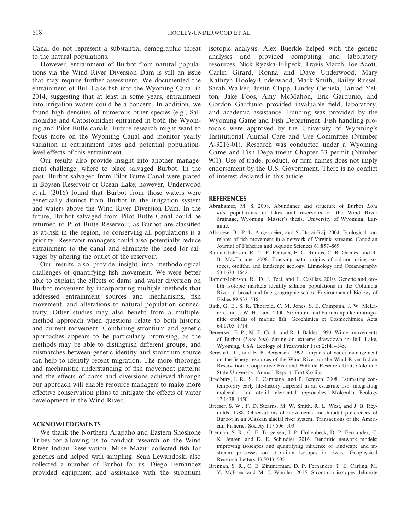Canal do not represent a substantial demographic threat to the natural populations.

However, entrainment of Burbot from natural populations via the Wind River Diversion Dam is still an issue that may require further assessment. We documented the entrainment of Bull Lake fish into the Wyoming Canal in 2014, suggesting that at least in some years, entrainment into irrigation waters could be a concern. In addition, we found high densities of numerous other species (e.g., Salmonidae and Catostomidae) entrained in both the Wyoming and Pilot Butte canals. Future research might want to focus more on the Wyoming Canal and monitor yearly variation in entrainment rates and potential populationlevel effects of this entrainment.

Our results also provide insight into another management challenge: where to place salvaged Burbot. In the past, Burbot salvaged from Pilot Butte Canal were placed in Boysen Reservoir or Ocean Lake; however, Underwood et al. (2016) found that Burbot from those waters were genetically distinct from Burbot in the irrigation system and waters above the Wind River Diversion Dam. In the future, Burbot salvaged from Pilot Butte Canal could be returned to Pilot Butte Reservoir, as Burbot are classified as at-risk in the region, so conserving all populations is a priority. Reservoir managers could also potentially reduce entrainment to the canal and eliminate the need for salvages by altering the outlet of the reservoir.

Our results also provide insight into methodological challenges of quantifying fish movement. We were better able to explain the effects of dams and water diversion on Burbot movement by incorporating multiple methods that addressed entrainment sources and mechanisms, fish movement, and alterations to natural population connectivity. Other studies may also benefit from a multiplemethod approach when questions relate to both historic and current movement. Combining strontium and genetic approaches appears to be particularly promising, as the methods may be able to distinguish different groups, and mismatches between genetic identity and strontium source can help to identify recent migration. The more thorough and mechanistic understanding of fish movement patterns and the effects of dams and diversions achieved through our approach will enable resource managers to make more effective conservation plans to mitigate the effects of water development in the Wind River.

## **ACKNOWLEDGMENTS**

We thank the Northern Arapaho and Eastern Shoshone Tribes for allowing us to conduct research on the Wind River Indian Reservation. Mike Mazur collected fish for genetics and helped with sampling. Sean Lewandoski also collected a number of Burbot for us. Diego Fernandez provided equipment and assistance with the strontium isotopic analysis. Alex Buerkle helped with the genetic analyses and provided computing and laboratory resources. Nick Ryzska-Filipeck, Travis March, Joe Acott, Carlin Girard, Ronna and Dave Underwood, Mary Kathryn Hooley-Underwood, Mark Smith, Bailey Russel, Sarah Walker, Justin Clapp, Lindsy Ciepiela, Jarrod Yelton, Jake Foos, Amy McMahon, Eric Gardunio, and Gordon Gardunio provided invaluable field, laboratory, and academic assistance. Funding was provided by the Wyoming Game and Fish Department. Fish handling protocols were approved by the University of Wyoming's Institutional Animal Care and Use Committee (Number A-3216-01). Research was conducted under a Wyoming Game and Fish Department Chapter 33 permit (Number 901). Use of trade, product, or firm names does not imply endorsement by the U.S. Government. There is no conflict of interest declared in this article.

#### **REFERENCES**

- Abrahamse, M. S. 2008. Abundance and structure of Burbot *Lota lota* populations in lakes and reservoirs of the Wind River drainage, Wyoming. Master's thesis. University of Wyoming, Laramie.
- Albanese, B., P. L. Angermeier, and S. Dorai-Raj. 2004. Ecological correlates of fish movement in a network of Virginia streams. Canadian Journal of Fisheries and Aquatic Sciences 61:857–869.
- Barnett-Johnson, R., T. E. Pearson, F. C. Ramos, C. B. Grimes, and R. B. MacFarlane. 2008. Tracking natal origins of salmon using isotopes, otoliths, and landscape geology. Limnology and Oceanography 53:1633–1642.
- Barnett-Johnson, R., D. J. Teel, and E. Casillas. 2010. Genetic and otolith isotopic markers identify salmon populations in the Columbia River at broad and fine geographic scales. Environmental Biology of Fishes 89:533–546.
- Bath, G. E., S. R. Thorrold, C. M. Jones, S. E. Campana, J. W. McLaren, and J. W. H. Lam. 2000. Strontium and barium uptake in aragonitic otoliths of marine fish. Geochimica et Cosmochimica Acta 64:1705–1714.
- Bergersen, E. P., M. F. Cook, and R. J. Baldes. 1993. Winter movements of Burbot (*Lota lota*) during an extreme drawdown in Bull Lake, Wyoming, USA. Ecology of Freshwater Fish 2:141–145.
- Bergstedt, L., and E. P. Bergersen. 1992. Impacts of water management on the fishery resources of the Wind River on the Wind River Indian Reservation. Cooperative Fish and Wildlife Research Unit, Colorado State University, Annual Report, Fort Collins.
- Bradbury, I. R., S. E. Campana, and P. Bentzen. 2008. Estimating contemporary early life-history dispersal in an estuarine fish: integrating molecular and otolith elemental approaches. Molecular Ecology 17:1438–1450.
- Breeser, S. W., F. D. Stearns, M. W. Smith, R. L. West, and J. B. Reynolds. 1988. Observations of movements and habitat preferences of Burbot in an Alaskan glacial river system. Transactions of the American Fisheries Society 117:506–509.
- Brennan, S. R., C. E. Torgersen, J. P. Hollenbeck, D. P. Fernandez, C. K. Jensen, and D. E. Schindler. 2016. Dendritic network models: improving isoscapes and quantifying influence of landscape and instream processes on strontium isotopes in rivers. Geophysical Research Letters 43:5043–5051.
- Brennan, S. R., C. E. Zimmerman, D. P. Fernandez, T. E. Carling, M. V. McPhee, and M. J. Wooller. 2015. Strontium isotopes delineate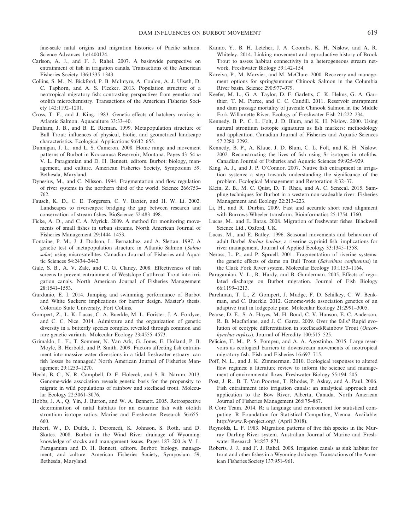fine-scale natal origins and migration histories of Pacific salmon. Science Advances 1:e1400124.

- Carlson, A. J., and F. J. Rahel. 2007. A basinwide perspective on entrainment of fish in irrigation canals. Transactions of the American Fisheries Society 136:1335–1343.
- Collins, S. M., N. Bickford, P. B. McIntyre, A. Coulon, A. J. Ulseth, D. C. Taphorn, and A. S. Flecker. 2013. Population structure of a neotropical migratory fish: contrasting perspectives from genetics and otolith microchemistry. Transactions of the American Fisheries Society 142:1192–1201.
- Cross, T. F., and J. King. 1983. Genetic effects of hatchery rearing in Atlantic Salmon. Aquaculture 33:33–40.
- Dunham, J. B., and B. E. Rieman. 1999. Metapopulation structure of Bull Trout: influences of physical, biotic, and geometrical landscape characteristics. Ecological Applications 9:642–655.
- Dunnigan, J. L., and L. S. Cameron. 2008. Home range and movement patterns of Burbot in Koocanusa Reservoir, Montana. Pages 43–54 *in* V. L. Paragamian and D. H. Bennett, editors. Burbot: biology, management, and culture. American Fisheries Society, Symposium 59, Bethesda, Maryland.
- Dynesius, M., and C. Nilsson. 1994. Fragmentation and flow regulation of river systems in the northern third of the world. Science 266:753– 762.
- Fausch, K. D., C. E. Torgersen, C. V. Baxter, and H. W. Li. 2002. Landscapes to riverscapes: bridging the gap between research and conservation of stream fishes. BioScience 52:483–498.
- Ficke, A. D., and C. A. Myrick. 2009. A method for monitoring movements of small fishes in urban streams. North American Journal of Fisheries Management 29:1444–1453.
- Fontaine, P. M., J. J. Dodson, L. Bernatchez, and A. Slettan. 1997. A genetic test of metapopulation structure in Atlantic Salmon (*Salmo salar*) using microsatellites. Canadian Journal of Fisheries and Aquatic Sciences 54:2434–2442.
- Gale, S. B., A. V. Zale, and C. G. Clancy. 2008. Effectiveness of fish screens to prevent entrainment of Westslope Cutthroat Trout into irrigation canals. North American Journal of Fisheries Management 28:1541–1553.
- Gardunio, E. I. 2014. Jumping and swimming performance of Burbot and White Suckers: implications for barrier design. Master's thesis. Colorado State University, Fort Collins.
- Gompert, Z., L. K. Lucas, C. A. Buerkle, M. L. Forister, J. A. Fordyce, and C. C. Nice. 2014. Admixture and the organization of genetic diversity in a butterfly species complex revealed through common and rare genetic variants. Molecular Ecology 23:4555–4573.
- Grimaldo, L. F., T. Sommer, N. Van Ark, G. Jones, E. Holland, P. B. Moyle, B. Herbold, and P. Smith. 2009. Factors affecting fish entrainment into massive water diversions in a tidal freshwater estuary: can fish losses be managed? North American Journal of Fisheries Management 29:1253–1270.
- Hecht, B. C., N. R. Campbell, D. E. Holecek, and S. R. Narum. 2013. Genome-wide association reveals genetic basis for the propensity to migrate in wild populations of rainbow and steelhead trout. Molecular Ecology 22:3061–3076.
- Hobbs, J. A., Q. Yin, J. Burton, and W. A. Bennett. 2005. Retrospective determination of natal habitats for an estuarine fish with otolith strontium isotope ratios. Marine and Freshwater Research 56:655– 660.
- Hubert, W., D. Dufek, J. Deromedi, K. Johnson, S. Roth, and D. Skates. 2008. Burbot in the Wind River drainage of Wyoming: knowledge of stocks and management issues. Pages 187–200 *in* V. L. Paragamian and D. H. Bennett, editors. Burbot: biology, management, and culture. American Fisheries Society, Symposium 59, Bethesda, Maryland.
- Kanno, Y., B. H. Letcher, J. A. Coombs, K. H. Nislow, and A. R. Whiteley. 2014. Linking movement and reproductive history of Brook Trout to assess habitat connectivity in a heterogeneous stream network. Freshwater Biology 59:142–154.
- Kareiva, P., M. Marvier, and M. McClure. 2000. Recovery and management options for spring/summer Chinook Salmon in the Columbia River basin. Science 290:977–979.
- Keefer, M. L., G. A. Taylor, D. F. Garletts, C. K. Helms, G. A. Gauthier, T. M. Pierce, and C. C. Caudill. 2011. Reservoir entrapment and dam passage mortality of juvenile Chinook Salmon in the Middle Fork Willamette River. Ecology of Freshwater Fish 21:222–234.
- Kennedy, B. P., C. L. Folt, J. D. Blum, and K. H. Nislow. 2000. Using natural strontium isotopic signatures as fish markers: methodology and application. Canadian Journal of Fisheries and Aquatic Sciences 57:2280–2292.
- Kennedy, B. P., A. Klaue, J. D. Blum, C. L. Folt, and K. H. Nislow. 2002. Reconstructing the lives of fish using Sr isotopes in otoliths. Canadian Journal of Fisheries and Aquatic Sciences 59:925–929.
- King, A. J., and J. P. O'Connor. 2007. Native fish entrapment in irrigation systems: a step towards understanding the significance of the problem. Ecological Management and Restoration 8:32–37.
- Klein, Z. B., M. C. Quist, D. T. Rhea, and A. C. Senecal. 2015. Sampling techniques for Burbot in a western non-wadeable river. Fisheries Management and Ecology 22:213–223.
- Li, H., and R. Durbin. 2009. Fast and accurate short read alignment with Burrows-Wheeler transform. Bioinformatics 25:1754–1760.
- Lucas, M., and E. Baras. 2008. Migration of freshwater fishes. Blackwell Science Ltd., Oxford, UK.
- Lucas, M., and E. Batley. 1996. Seasonal movements and behaviour of adult Barbel *Barbus barbus*, a riverine cyprinid fish: implications for river management. Journal of Applied Ecology 33:1345–1358.
- Nerass, L. P., and P. Spruell. 2001. Fragmentation of riverine systems: the genetic effects of dams on Bull Trout (*Salvelinus confluentus*) in the Clark Fork River system. Molecular Ecology 10:1153–1164.
- Paragamian, V. L., R. Hardy, and B. Gunderman. 2005. Effects of regulated discharge on Burbot migration. Journal of Fish Biology 66:1199–1213.
- Parchman, T. L., Z. Gompert, J. Mudge, F. D. Schilkey, C. W. Benkman, and C. Buerkle. 2012. Genome-wide association genetics of an adaptive trait in lodgepole pine. Molecular Ecology 21:2991–3005.
- Pearse, D. E., S. A. Hayes, M. H. Bond, C. V. Hanson, E. C. Anderson, R. B. Macfarlane, and J. C. Garza. 2009. Over the falls? Rapid evolution of ecotypic differentiation in steelhead/Rainbow Trout (*Oncorhynchus mykiss*). Journal of Heredity 100:515–525.
- Pelicice, F. M., P. S. Pompeu, and A. A. Agostinho. 2015. Large reservoirs as ecological barriers to downstream movements of neotropical migratory fish. Fish and Fisheries 16:697–715.
- Poff, N. L., and J. K. Zimmerman. 2010. Ecological responses to altered flow regimes: a literature review to inform the science and management of environmental flows. Freshwater Biology 55:194–205.
- Post, J. R., B. T. Van Poorten, T. Rhodes, P. Askey, and A. Paul. 2006. Fish entrainment into irrigation canals: an analytical approach and application to the Bow River, Alberta, Canada. North American Journal of Fisheries Management 26:875–887.
- R Core Team. 2014. R: a language and environment for statistical computing. R Foundation for Statistical Computing, Vienna. Available: [http://www.R-project.org/.](http://www.R-project.org/) (April 2018).
- Reynolds, L. F. 1983. Migration patterns of five fish species in the Murray–Darling River system. Australian Journal of Marine and Freshwater Research 34:857–871.
- Roberts, J. J., and F. J. Rahel. 2008. Irrigation canals as sink habitat for trout and other fishes in a Wyoming drainage. Transactions of the American Fisheries Society 137:951–961.